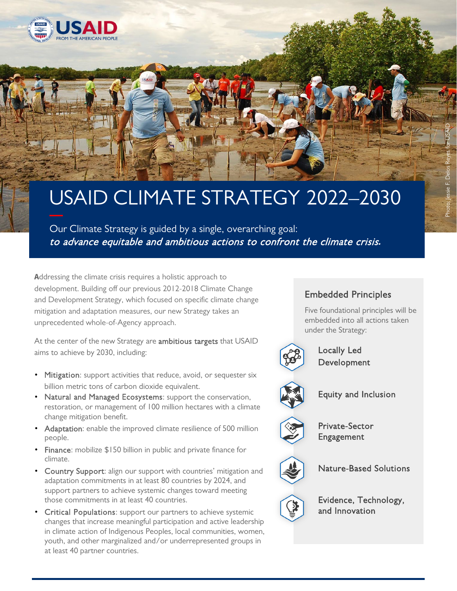

## USAID CLIMATE STRATEGY 2022–2030

 Our Climate Strategy is guided by a single, overarching goal: to advance equitable and ambitious actions to confront the climate crisis*.*

 **A**ddressing the climate crisis requires a holistic approach to development. Building off our previous 2012-2018 Climate Change and Development Strategy, which focused on specific climate change mitigation and adaptation measures, our new Strategy takes an unprecedented whole-of-Agency approach.

At the center of the new Strategy are **ambitious targets** that USAID aims to achieve by 2030, including:

- Mitigation: support activities that reduce, avoid, or sequester six billion metric tons of carbon dioxide equivalent.
- Natural and Managed Ecosystems: support the conservation, restoration, or management of 100 million hectares with a climate change mitigation benefit.
- Adaptation: enable the improved climate resilience of 500 million people.
- Finance: mobilize \$150 billion in public and private finance for climate.
- adaptation commitments in at least 80 countries by 2024, and support partners to achieve systemic changes toward meeting • Country Support: align our support with countries' mitigation and those commitments in at least 40 countries.
- youth, and other marginalized and/or underrepresented groups in at least 40 partner countries. • Critical Populations: support our partners to achieve systemic changes that increase meaningful participation and active leadership in climate action of Indigenous Peoples, local communities, women,

## Embedded Principles

Five foundational principles will be embedded into all actions taken under the Strategy:



Locally Led Development



Equity and Inclusion



Private-Sector Engagement



Nature-Based Solutions



Evidence, Technology, and Innovation